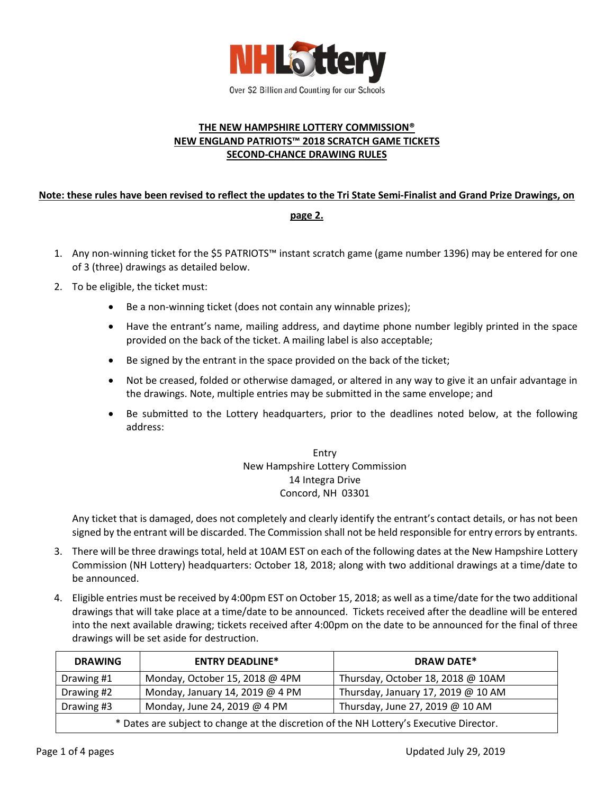

### **THE NEW HAMPSHIRE LOTTERY COMMISSION® NEW ENGLAND PATRIOTS™ 2018 SCRATCH GAME TICKETS SECOND-CHANCE DRAWING RULES**

# **Note: these rules have been revised to reflect the updates to the Tri State Semi-Finalist and Grand Prize Drawings, on**

#### **page 2.**

- 1. Any non-winning ticket for the \$5 PATRIOTS™ instant scratch game (game number 1396) may be entered for one of 3 (three) drawings as detailed below.
- 2. To be eligible, the ticket must:
	- Be a non-winning ticket (does not contain any winnable prizes);
	- Have the entrant's name, mailing address, and daytime phone number legibly printed in the space provided on the back of the ticket. A mailing label is also acceptable;
	- Be signed by the entrant in the space provided on the back of the ticket;
	- Not be creased, folded or otherwise damaged, or altered in any way to give it an unfair advantage in the drawings. Note, multiple entries may be submitted in the same envelope; and
	- Be submitted to the Lottery headquarters, prior to the deadlines noted below, at the following address:

## Entry New Hampshire Lottery Commission 14 Integra Drive Concord, NH 03301

Any ticket that is damaged, does not completely and clearly identify the entrant's contact details, or has not been signed by the entrant will be discarded. The Commission shall not be held responsible for entry errors by entrants.

- 3. There will be three drawings total, held at 10AM EST on each of the following dates at the New Hampshire Lottery Commission (NH Lottery) headquarters: October 18, 2018; along with two additional drawings at a time/date to be announced.
- 4. Eligible entries must be received by 4:00pm EST on October 15, 2018; as well as a time/date for the two additional drawings that will take place at a time/date to be announced. Tickets received after the deadline will be entered into the next available drawing; tickets received after 4:00pm on the date to be announced for the final of three drawings will be set aside for destruction.

| <b>DRAWING</b>                                                                          | <b>ENTRY DEADLINE*</b>          | <b>DRAW DATE*</b>                  |
|-----------------------------------------------------------------------------------------|---------------------------------|------------------------------------|
| Drawing #1                                                                              | Monday, October 15, 2018 @ 4PM  | Thursday, October 18, 2018 @ 10AM  |
| Drawing #2                                                                              | Monday, January 14, 2019 @ 4 PM | Thursday, January 17, 2019 @ 10 AM |
| Drawing #3                                                                              | Monday, June 24, 2019 @ 4 PM    | Thursday, June 27, 2019 @ 10 AM    |
| * Dates are subject to change at the discretion of the NH Lottery's Executive Director. |                                 |                                    |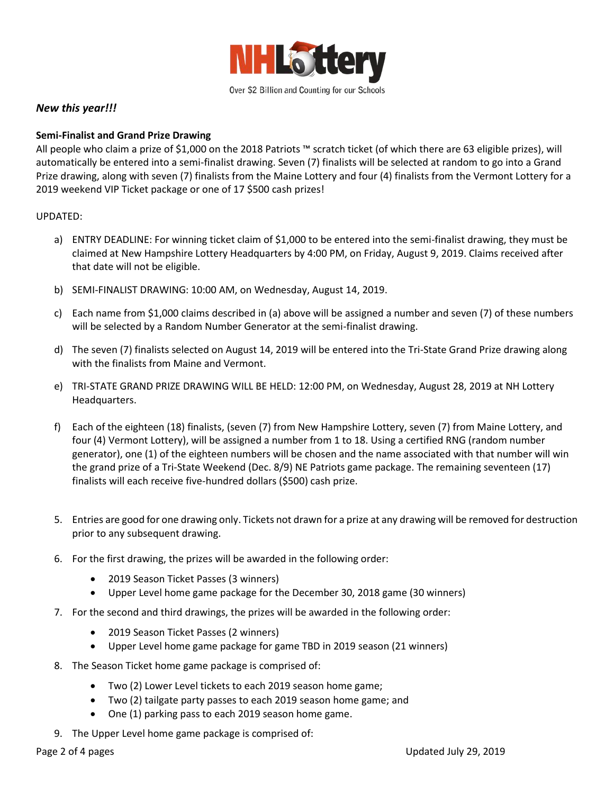

### *New this year!!!*

### **Semi-Finalist and Grand Prize Drawing**

All people who claim a prize of \$1,000 on the 2018 Patriots ™ scratch ticket (of which there are 63 eligible prizes), will automatically be entered into a semi-finalist drawing. Seven (7) finalists will be selected at random to go into a Grand Prize drawing, along with seven (7) finalists from the Maine Lottery and four (4) finalists from the Vermont Lottery for a 2019 weekend VIP Ticket package or one of 17 \$500 cash prizes!

#### UPDATED:

- a) ENTRY DEADLINE: For winning ticket claim of \$1,000 to be entered into the semi-finalist drawing, they must be claimed at New Hampshire Lottery Headquarters by 4:00 PM, on Friday, August 9, 2019. Claims received after that date will not be eligible.
- b) SEMI-FINALIST DRAWING: 10:00 AM, on Wednesday, August 14, 2019.
- c) Each name from \$1,000 claims described in (a) above will be assigned a number and seven (7) of these numbers will be selected by a Random Number Generator at the semi-finalist drawing.
- d) The seven (7) finalists selected on August 14, 2019 will be entered into the Tri-State Grand Prize drawing along with the finalists from Maine and Vermont.
- e) TRI-STATE GRAND PRIZE DRAWING WILL BE HELD: 12:00 PM, on Wednesday, August 28, 2019 at NH Lottery Headquarters.
- f) Each of the eighteen (18) finalists, (seven (7) from New Hampshire Lottery, seven (7) from Maine Lottery, and four (4) Vermont Lottery), will be assigned a number from 1 to 18. Using a certified RNG (random number generator), one (1) of the eighteen numbers will be chosen and the name associated with that number will win the grand prize of a Tri-State Weekend (Dec. 8/9) NE Patriots game package. The remaining seventeen (17) finalists will each receive five-hundred dollars (\$500) cash prize.
- 5. Entries are good for one drawing only. Tickets not drawn for a prize at any drawing will be removed for destruction prior to any subsequent drawing.
- 6. For the first drawing, the prizes will be awarded in the following order:
	- 2019 Season Ticket Passes (3 winners)
	- Upper Level home game package for the December 30, 2018 game (30 winners)
- 7. For the second and third drawings, the prizes will be awarded in the following order:
	- 2019 Season Ticket Passes (2 winners)
	- Upper Level home game package for game TBD in 2019 season (21 winners)
- 8. The Season Ticket home game package is comprised of:
	- Two (2) Lower Level tickets to each 2019 season home game;
	- Two (2) tailgate party passes to each 2019 season home game; and
	- One (1) parking pass to each 2019 season home game.
- 9. The Upper Level home game package is comprised of: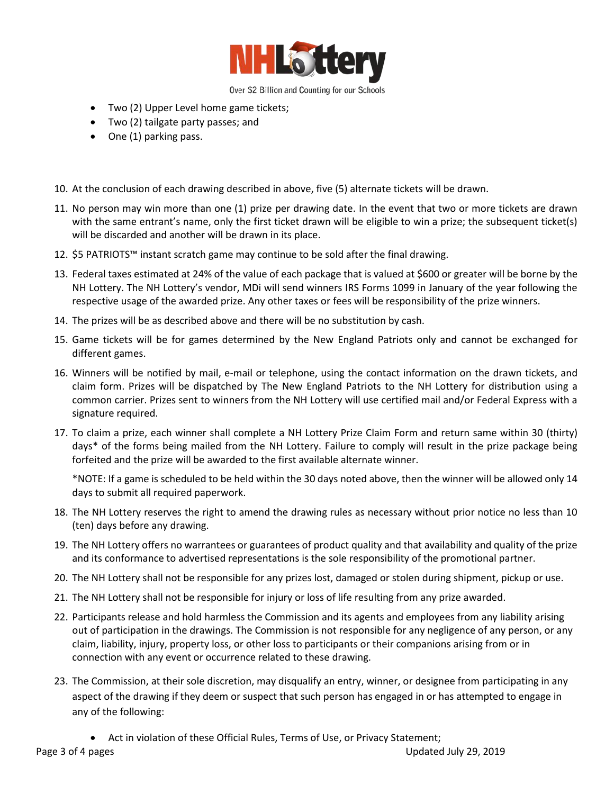

- Two (2) Upper Level home game tickets;
- Two (2) tailgate party passes; and
- One (1) parking pass.
- 10. At the conclusion of each drawing described in above, five (5) alternate tickets will be drawn.
- 11. No person may win more than one (1) prize per drawing date. In the event that two or more tickets are drawn with the same entrant's name, only the first ticket drawn will be eligible to win a prize; the subsequent ticket(s) will be discarded and another will be drawn in its place.
- 12. \$5 PATRIOTS™ instant scratch game may continue to be sold after the final drawing.
- 13. Federal taxes estimated at 24% of the value of each package that is valued at \$600 or greater will be borne by the NH Lottery. The NH Lottery's vendor, MDi will send winners IRS Forms 1099 in January of the year following the respective usage of the awarded prize. Any other taxes or fees will be responsibility of the prize winners.
- 14. The prizes will be as described above and there will be no substitution by cash.
- 15. Game tickets will be for games determined by the New England Patriots only and cannot be exchanged for different games.
- 16. Winners will be notified by mail, e-mail or telephone, using the contact information on the drawn tickets, and claim form. Prizes will be dispatched by The New England Patriots to the NH Lottery for distribution using a common carrier. Prizes sent to winners from the NH Lottery will use certified mail and/or Federal Express with a signature required.
- 17. To claim a prize, each winner shall complete a NH Lottery Prize Claim Form and return same within 30 (thirty) days\* of the forms being mailed from the NH Lottery. Failure to comply will result in the prize package being forfeited and the prize will be awarded to the first available alternate winner.

\*NOTE: If a game is scheduled to be held within the 30 days noted above, then the winner will be allowed only 14 days to submit all required paperwork.

- 18. The NH Lottery reserves the right to amend the drawing rules as necessary without prior notice no less than 10 (ten) days before any drawing.
- 19. The NH Lottery offers no warrantees or guarantees of product quality and that availability and quality of the prize and its conformance to advertised representations is the sole responsibility of the promotional partner.
- 20. The NH Lottery shall not be responsible for any prizes lost, damaged or stolen during shipment, pickup or use.
- 21. The NH Lottery shall not be responsible for injury or loss of life resulting from any prize awarded.
- 22. Participants release and hold harmless the Commission and its agents and employees from any liability arising out of participation in the drawings. The Commission is not responsible for any negligence of any person, or any claim, liability, injury, property loss, or other loss to participants or their companions arising from or in connection with any event or occurrence related to these drawing.
- 23. The Commission, at their sole discretion, may disqualify an entry, winner, or designee from participating in any aspect of the drawing if they deem or suspect that such person has engaged in or has attempted to engage in any of the following:
	- Act in violation of these Official Rules, Terms of Use, or Privacy Statement;